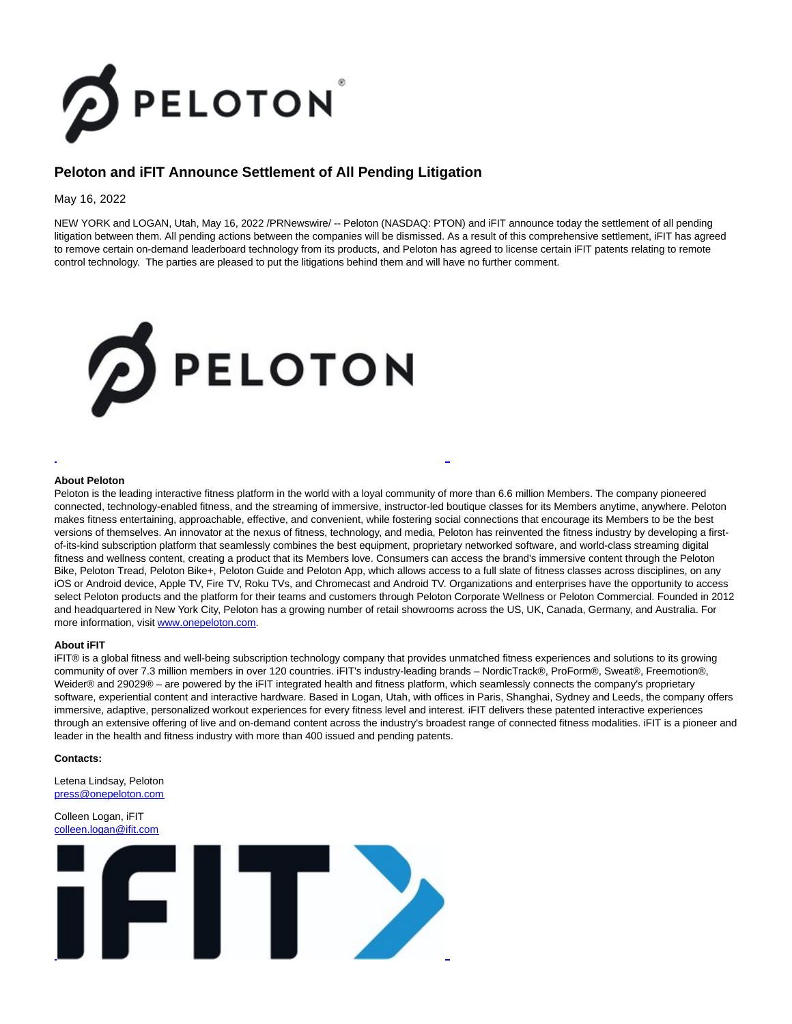

# **Peloton and iFIT Announce Settlement of All Pending Litigation**

### May 16, 2022

NEW YORK and LOGAN, Utah, May 16, 2022 /PRNewswire/ -- Peloton (NASDAQ: PTON) and iFIT announce today the settlement of all pending litigation between them. All pending actions between the companies will be dismissed. As a result of this comprehensive settlement, iFIT has agreed to remove certain on-demand leaderboard technology from its products, and Peloton has agreed to license certain iFIT patents relating to remote control technology. The parties are pleased to put the litigations behind them and will have no further comment.



#### **About Peloton**

Peloton is the leading interactive fitness platform in the world with a loyal community of more than 6.6 million Members. The company pioneered connected, technology-enabled fitness, and the streaming of immersive, instructor-led boutique classes for its Members anytime, anywhere. Peloton makes fitness entertaining, approachable, effective, and convenient, while fostering social connections that encourage its Members to be the best versions of themselves. An innovator at the nexus of fitness, technology, and media, Peloton has reinvented the fitness industry by developing a firstof-its-kind subscription platform that seamlessly combines the best equipment, proprietary networked software, and world-class streaming digital fitness and wellness content, creating a product that its Members love. Consumers can access the brand's immersive content through the Peloton Bike, Peloton Tread, Peloton Bike+, Peloton Guide and Peloton App, which allows access to a full slate of fitness classes across disciplines, on any iOS or Android device, Apple TV, Fire TV, Roku TVs, and Chromecast and Android TV. Organizations and enterprises have the opportunity to access select Peloton products and the platform for their teams and customers through Peloton Corporate Wellness or Peloton Commercial. Founded in 2012 and headquartered in New York City, Peloton has a growing number of retail showrooms across the US, UK, Canada, Germany, and Australia. For more information, visit [www.onepeloton.com.](https://c212.net/c/link/?t=0&l=en&o=3537745-1&h=1100998637&u=http%3A%2F%2Fwww.onepeloton.com%2F&a=www.onepeloton.com)

L

#### **About iFIT**

iFIT® is a global fitness and well-being subscription technology company that provides unmatched fitness experiences and solutions to its growing community of over 7.3 million members in over 120 countries. iFIT's industry-leading brands – NordicTrack®, ProForm®, Sweat®, Freemotion®, Weider® and 29029® – are powered by the iFIT integrated health and fitness platform, which seamlessly connects the company's proprietary software, experiential content and interactive hardware. Based in Logan, Utah, with offices in Paris, Shanghai, Sydney and Leeds, the company offers immersive, adaptive, personalized workout experiences for every fitness level and interest. iFIT delivers these patented interactive experiences through an extensive offering of live and on-demand content across the industry's broadest range of connected fitness modalities. iFIT is a pioneer and leader in the health and fitness industry with more than 400 issued and pending patents.

#### **Contacts:**

Letena Lindsay, Peloton [press@onepeloton.com](mailto:press@onepeloton.com)

## Colleen Logan, iFIT [colleen.logan@ifit.com](mailto:colleen.logan@ifit.com)